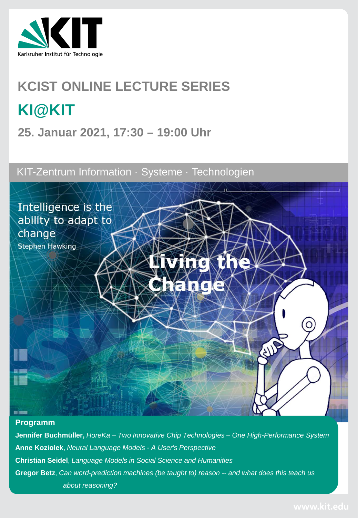

# **KCIST ONLINE LECTURE SERIES KI@KIT**

**25. Januar 2021, 17:30 – 19:00 Uhr**

KIT-Zentrum Information · Systeme · Technologien



#### **Programm**

**Jennifer Buchmüller,** *HoreKa – Two Innovative Chip Technologies – One High-Performance System* **Anne Koziolek**, *Neural Language Models - A User's Perspective* **Christian Seidel**, *Language Models in Social Science and Humanities* **Gregor Betz**, *Can word-prediction machines (be taught to) reason -- and what does this teach us about reasoning?*